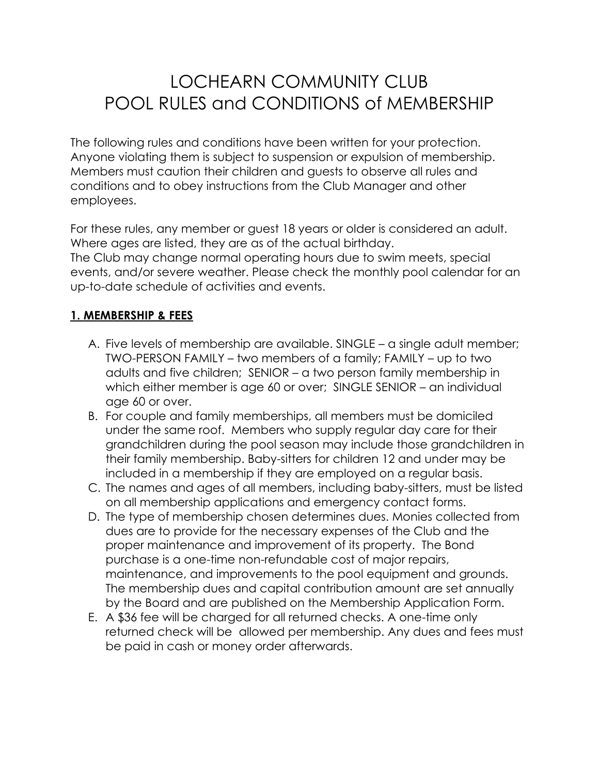# LOCHEARN COMMUNITY CLUB POOL RULES and CONDITIONS of MEMBERSHIP

The following rules and conditions have been written for your protection. Anyone violating them is subject to suspension or expulsion of membership. Members must caution their children and guests to observe all rules and conditions and to obey instructions from the Club Manager and other employees.

For these rules, any member or guest 18 years or older is considered an adult. Where ages are listed, they are as of the actual birthday. The Club may change normal operating hours due to swim meets, special events, and/or severe weather. Please check the monthly pool calendar for an up-to-date schedule of activities and events.

#### **1. MEMBERSHIP & FEES**

- A. Five levels of membership are available. SINGLE a single adult member; TWO-PERSON FAMILY – two members of a family; FAMILY – up to two adults and five children; SENIOR – a two person family membership in which either member is age 60 or over; SINGLE SENIOR – an individual age 60 or over.
- B. For couple and family memberships, all members must be domiciled under the same roof. Members who supply regular day care for their grandchildren during the pool season may include those grandchildren in their family membership. Baby-sitters for children 12 and under may be included in a membership if they are employed on a regular basis.
- C. The names and ages of all members, including baby-sitters, must be listed on all membership applications and emergency contact forms.
- D. The type of membership chosen determines dues. Monies collected from dues are to provide for the necessary expenses of the Club and the proper maintenance and improvement of its property. The Bond purchase is a one-time non-refundable cost of major repairs, maintenance, and improvements to the pool equipment and grounds. The membership dues and capital contribution amount are set annually by the Board and are published on the Membership Application Form.
- E. A \$36 fee will be charged for all returned checks. A one-time only returned check will be allowed per membership. Any dues and fees must be paid in cash or money order afterwards.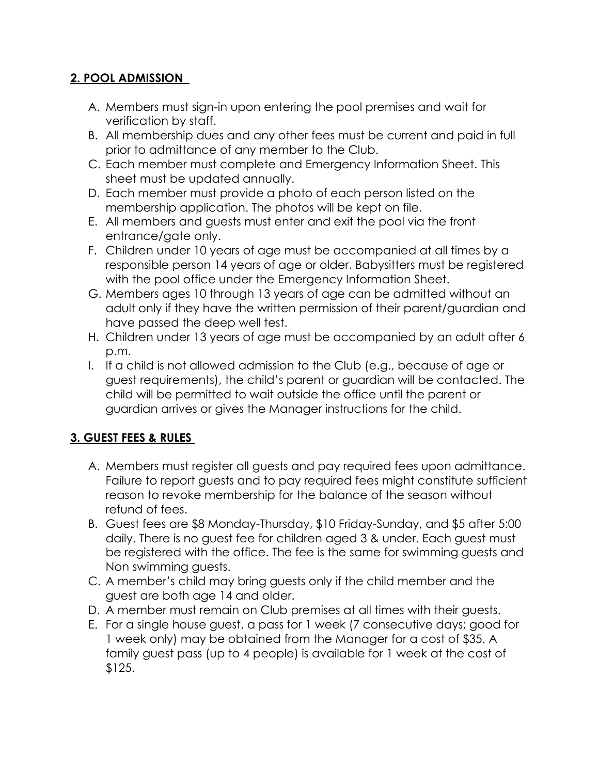#### **2. POOL ADMISSION**

- A. Members must sign-in upon entering the pool premises and wait for verification by staff.
- B. All membership dues and any other fees must be current and paid in full prior to admittance of any member to the Club.
- C. Each member must complete and Emergency Information Sheet. This sheet must be updated annually.
- D. Each member must provide a photo of each person listed on the membership application. The photos will be kept on file.
- E. All members and guests must enter and exit the pool via the front entrance/gate only.
- F. Children under 10 years of age must be accompanied at all times by a responsible person 14 years of age or older. Babysitters must be registered with the pool office under the Emergency Information Sheet.
- G. Members ages 10 through 13 years of age can be admitted without an adult only if they have the written permission of their parent/guardian and have passed the deep well test.
- H. Children under 13 years of age must be accompanied by an adult after 6 p.m.
- I. If a child is not allowed admission to the Club (e.g., because of age or guest requirements), the child's parent or guardian will be contacted. The child will be permitted to wait outside the office until the parent or guardian arrives or gives the Manager instructions for the child.

## **3. GUEST FEES & RULES**

- A. Members must register all guests and pay required fees upon admittance. Failure to report guests and to pay required fees might constitute sufficient reason to revoke membership for the balance of the season without refund of fees.
- B. Guest fees are \$8 Monday-Thursday, \$10 Friday-Sunday, and \$5 after 5:00 daily. There is no guest fee for children aged 3 & under. Each guest must be registered with the office. The fee is the same for swimming guests and Non swimming guests.
- C. A member's child may bring guests only if the child member and the guest are both age 14 and older.
- D. A member must remain on Club premises at all times with their guests.
- E. For a single house guest, a pass for 1 week (7 consecutive days; good for 1 week only) may be obtained from the Manager for a cost of \$35. A family guest pass (up to 4 people) is available for 1 week at the cost of \$125.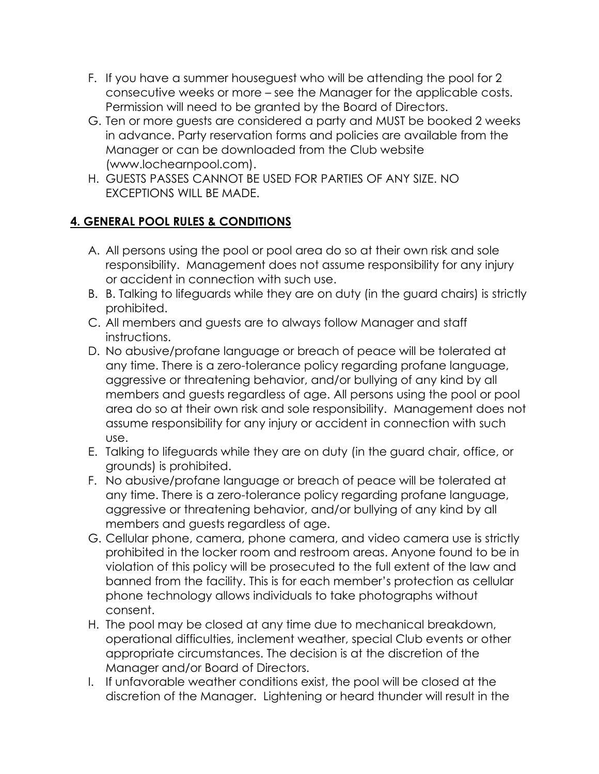- F. If you have a summer houseguest who will be attending the pool for 2 consecutive weeks or more – see the Manager for the applicable costs. Permission will need to be granted by the Board of Directors.
- G. Ten or more guests are considered a party and MUST be booked 2 weeks in advance. Party reservation forms and policies are available from the Manager or can be downloaded from the Club website (www.lochearnpool.com).
- H. GUESTS PASSES CANNOT BE USED FOR PARTIES OF ANY SIZE. NO EXCEPTIONS WILL BE MADE.

# **4. GENERAL POOL RULES & CONDITIONS**

- A. All persons using the pool or pool area do so at their own risk and sole responsibility. Management does not assume responsibility for any injury or accident in connection with such use.
- B. B. Talking to lifeguards while they are on duty (in the guard chairs) is strictly prohibited.
- C. All members and guests are to always follow Manager and staff instructions.
- D. No abusive/profane language or breach of peace will be tolerated at any time. There is a zero-tolerance policy regarding profane language, aggressive or threatening behavior, and/or bullying of any kind by all members and guests regardless of age. All persons using the pool or pool area do so at their own risk and sole responsibility. Management does not assume responsibility for any injury or accident in connection with such use.
- E. Talking to lifeguards while they are on duty (in the guard chair, office, or grounds) is prohibited.
- F. No abusive/profane language or breach of peace will be tolerated at any time. There is a zero-tolerance policy regarding profane language, aggressive or threatening behavior, and/or bullying of any kind by all members and guests regardless of age.
- G. Cellular phone, camera, phone camera, and video camera use is strictly prohibited in the locker room and restroom areas. Anyone found to be in violation of this policy will be prosecuted to the full extent of the law and banned from the facility. This is for each member's protection as cellular phone technology allows individuals to take photographs without consent.
- H. The pool may be closed at any time due to mechanical breakdown, operational difficulties, inclement weather, special Club events or other appropriate circumstances. The decision is at the discretion of the Manager and/or Board of Directors.
- I. If unfavorable weather conditions exist, the pool will be closed at the discretion of the Manager. Lightening or heard thunder will result in the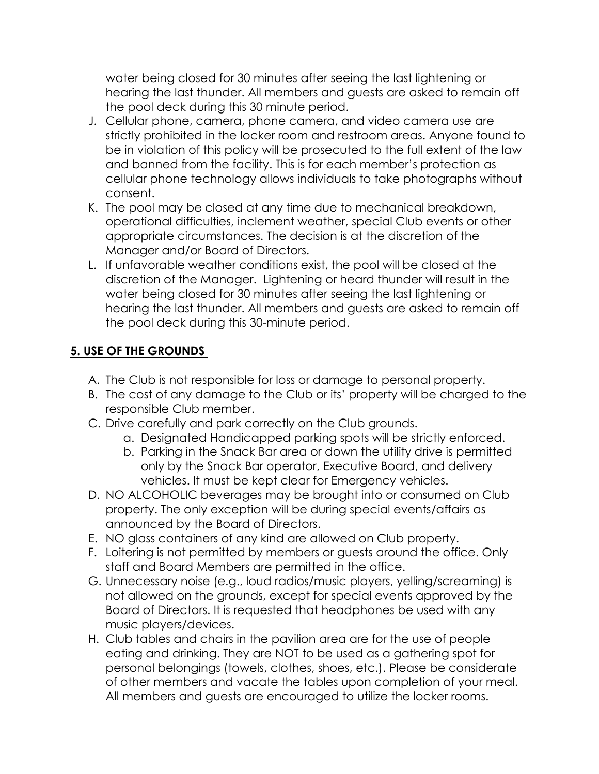water being closed for 30 minutes after seeing the last lightening or hearing the last thunder. All members and guests are asked to remain off the pool deck during this 30 minute period.

- J. Cellular phone, camera, phone camera, and video camera use are strictly prohibited in the locker room and restroom areas. Anyone found to be in violation of this policy will be prosecuted to the full extent of the law and banned from the facility. This is for each member's protection as cellular phone technology allows individuals to take photographs without consent.
- K. The pool may be closed at any time due to mechanical breakdown, operational difficulties, inclement weather, special Club events or other appropriate circumstances. The decision is at the discretion of the Manager and/or Board of Directors.
- L. If unfavorable weather conditions exist, the pool will be closed at the discretion of the Manager. Lightening or heard thunder will result in the water being closed for 30 minutes after seeing the last lightening or hearing the last thunder. All members and guests are asked to remain off the pool deck during this 30-minute period.

#### **5. USE OF THE GROUNDS**

- A. The Club is not responsible for loss or damage to personal property.
- B. The cost of any damage to the Club or its' property will be charged to the responsible Club member.
- C. Drive carefully and park correctly on the Club grounds.
	- a. Designated Handicapped parking spots will be strictly enforced.
	- b. Parking in the Snack Bar area or down the utility drive is permitted only by the Snack Bar operator, Executive Board, and delivery vehicles. It must be kept clear for Emergency vehicles.
- D. NO ALCOHOLIC beverages may be brought into or consumed on Club property. The only exception will be during special events/affairs as announced by the Board of Directors.
- E. NO glass containers of any kind are allowed on Club property.
- F. Loitering is not permitted by members or guests around the office. Only staff and Board Members are permitted in the office.
- G. Unnecessary noise (e.g., loud radios/music players, yelling/screaming) is not allowed on the grounds, except for special events approved by the Board of Directors. It is requested that headphones be used with any music players/devices.
- H. Club tables and chairs in the pavilion area are for the use of people eating and drinking. They are NOT to be used as a gathering spot for personal belongings (towels, clothes, shoes, etc.). Please be considerate of other members and vacate the tables upon completion of your meal. All members and guests are encouraged to utilize the locker rooms.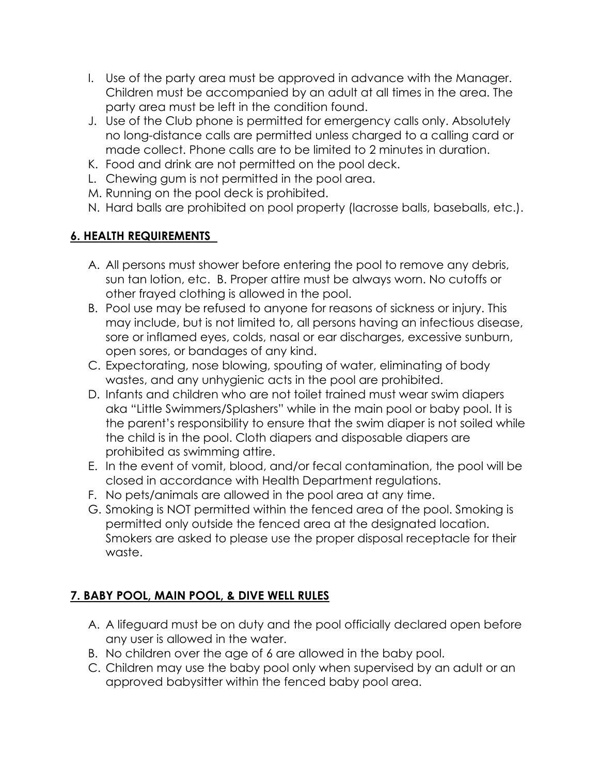- I. Use of the party area must be approved in advance with the Manager. Children must be accompanied by an adult at all times in the area. The party area must be left in the condition found.
- J. Use of the Club phone is permitted for emergency calls only. Absolutely no long-distance calls are permitted unless charged to a calling card or made collect. Phone calls are to be limited to 2 minutes in duration.
- K. Food and drink are not permitted on the pool deck.
- L. Chewing gum is not permitted in the pool area.
- M. Running on the pool deck is prohibited.
- N. Hard balls are prohibited on pool property (lacrosse balls, baseballs, etc.).

## **6. HEALTH REQUIREMENTS**

- A. All persons must shower before entering the pool to remove any debris, sun tan lotion, etc. B. Proper attire must be always worn. No cutoffs or other frayed clothing is allowed in the pool.
- B. Pool use may be refused to anyone for reasons of sickness or injury. This may include, but is not limited to, all persons having an infectious disease, sore or inflamed eyes, colds, nasal or ear discharges, excessive sunburn, open sores, or bandages of any kind.
- C. Expectorating, nose blowing, spouting of water, eliminating of body wastes, and any unhygienic acts in the pool are prohibited.
- D. Infants and children who are not toilet trained must wear swim diapers aka "Little Swimmers/Splashers" while in the main pool or baby pool. It is the parent's responsibility to ensure that the swim diaper is not soiled while the child is in the pool. Cloth diapers and disposable diapers are prohibited as swimming attire.
- E. In the event of vomit, blood, and/or fecal contamination, the pool will be closed in accordance with Health Department regulations.
- F. No pets/animals are allowed in the pool area at any time.
- G. Smoking is NOT permitted within the fenced area of the pool. Smoking is permitted only outside the fenced area at the designated location. Smokers are asked to please use the proper disposal receptacle for their waste.

## **7. BABY POOL, MAIN POOL, & DIVE WELL RULES**

- A. A lifeguard must be on duty and the pool officially declared open before any user is allowed in the water.
- B. No children over the age of 6 are allowed in the baby pool.
- C. Children may use the baby pool only when supervised by an adult or an approved babysitter within the fenced baby pool area.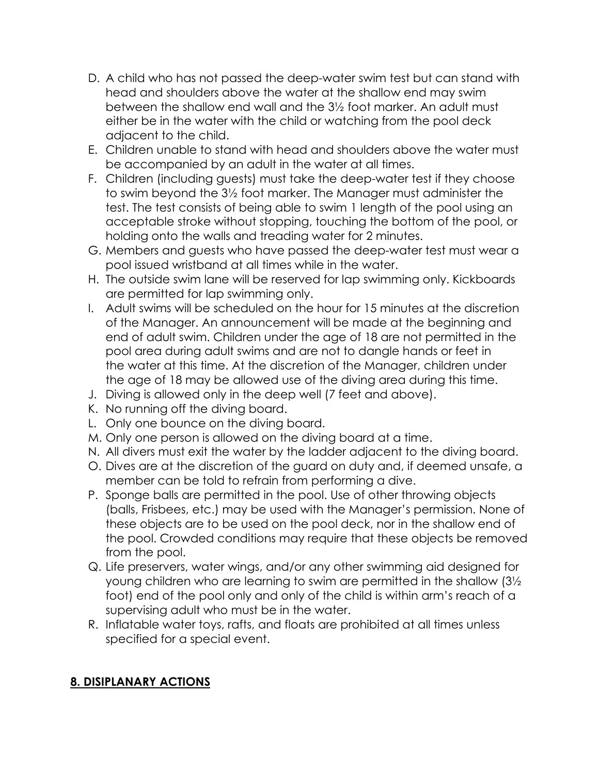- D. A child who has not passed the deep-water swim test but can stand with head and shoulders above the water at the shallow end may swim between the shallow end wall and the 3½ foot marker. An adult must either be in the water with the child or watching from the pool deck adjacent to the child.
- E. Children unable to stand with head and shoulders above the water must be accompanied by an adult in the water at all times.
- F. Children (including guests) must take the deep-water test if they choose to swim beyond the 3½ foot marker. The Manager must administer the test. The test consists of being able to swim 1 length of the pool using an acceptable stroke without stopping, touching the bottom of the pool, or holding onto the walls and treading water for 2 minutes.
- G. Members and guests who have passed the deep-water test must wear a pool issued wristband at all times while in the water.
- H. The outside swim lane will be reserved for lap swimming only. Kickboards are permitted for lap swimming only.
- I. Adult swims will be scheduled on the hour for 15 minutes at the discretion of the Manager. An announcement will be made at the beginning and end of adult swim. Children under the age of 18 are not permitted in the pool area during adult swims and are not to dangle hands or feet in the water at this time. At the discretion of the Manager, children under the age of 18 may be allowed use of the diving area during this time.
- J. Diving is allowed only in the deep well (7 feet and above).
- K. No running off the diving board.
- L. Only one bounce on the diving board.
- M. Only one person is allowed on the diving board at a time.
- N. All divers must exit the water by the ladder adjacent to the diving board.
- O. Dives are at the discretion of the guard on duty and, if deemed unsafe, a member can be told to refrain from performing a dive.
- P. Sponge balls are permitted in the pool. Use of other throwing objects (balls, Frisbees, etc.) may be used with the Manager's permission. None of these objects are to be used on the pool deck, nor in the shallow end of the pool. Crowded conditions may require that these objects be removed from the pool.
- Q. Life preservers, water wings, and/or any other swimming aid designed for young children who are learning to swim are permitted in the shallow (3½ foot) end of the pool only and only of the child is within arm's reach of a supervising adult who must be in the water.
- R. Inflatable water toys, rafts, and floats are prohibited at all times unless specified for a special event.

#### **8. DISIPLANARY ACTIONS**